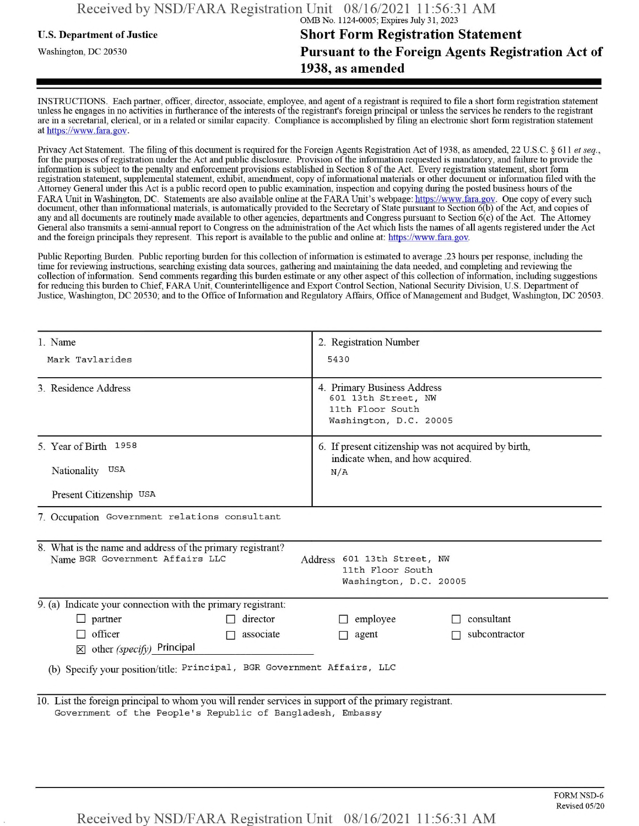## **u.s.** Department ofJustice **Short Form Registration Statement** Washington, dc <sup>20530</sup>**Pursuant to the Foreign Agents Registration Act of 1938, as amended**

INSTRUCTIONS. Each partner, officer, director, associate, employee, and agent of a registrant is required to file a short form registration statement unless he engages in no activities in furtherance ofthe interests ofthe registrant's foreign principal or unless the services he renders to the registrant are in a secretarial, clerical, or in a related or similar capacity. Compliance is accomplished by filing an electronic short form registration statement at https://www.fara.gov.

Privacy Act Statement. The filing of this document is required for the Foreign Agents Registration Act of 1938, as amended, 22 U.S.C. § 611 et seq., for the purposes ofregistration under the Act and public disclosure. Provision ofthe information requested is mandatory, and failure to provide the information is subject to the penalty and enforcement provisions established in Section 8 ofthe Act. Every registration statement, short form registration statement, supplemental statement, exhibit, amendment, copy ofinformational materials or other document or information filed with the Attorney General under this Act is a public record open to public examination, inspection and copying during the posted business hours ofthe FARA Unit in Washington, DC. Statements are also available online at the FARA Unit's webpage: https://www.fara.gov. One copy of every such document, other than informational materials, is automatically provided to the Secretary of State pursuant to Section 6(b) of the Act, and copies of any and all documents are routinely made available to other agencies, departments and Congress pursuant to Section 6(c) ofthe Act. The Attorney General also transmits a semi-annual report to Congress on the administration ofthe Act which lists the names of all agents registered under the Act and the foreign principals they represent. This report is available to the public and online at: https://www.fara.gov.

Public Reporting Burden. Public reporting burden for this collection ofinformation is estimated to average .23 hours per response, including the time for reviewing instructions, searching existing data sources, gathering and maintaining the data needed, and completing and reviewing the collection of information. Send comments regarding this burden estimate or any other aspect of this collection of information, including suggestions for reducing this burden to Chief, FARA Unit, Counterintelligence and Export Control Section, National Security Division, U.S. Department of Justice, Washington, DC 20530; and to the Office of Information and Regulatory Affairs, Office of Management and Budget, Washington, DC 20503.

| 1 Name                                                                                                                                                                     | 2. Registration Number                                                                           |  |  |  |  |  |  |
|----------------------------------------------------------------------------------------------------------------------------------------------------------------------------|--------------------------------------------------------------------------------------------------|--|--|--|--|--|--|
| Mark Tavlarides                                                                                                                                                            | 5430                                                                                             |  |  |  |  |  |  |
| 3. Residence Address                                                                                                                                                       | 4. Primary Business Address<br>601 13th Street, NW<br>11th Floor South<br>Washington, D.C. 20005 |  |  |  |  |  |  |
| 5. Year of Birth 1958<br>Nationality USA                                                                                                                                   | 6. If present citizenship was not acquired by birth,<br>indicate when, and how acquired.         |  |  |  |  |  |  |
| Present Citizenship USA                                                                                                                                                    | N/A                                                                                              |  |  |  |  |  |  |
| 7. Occupation Government relations consultant                                                                                                                              |                                                                                                  |  |  |  |  |  |  |
| 8. What is the name and address of the primary registrant?<br>Name BGR Government Affairs LLC<br>Address 601 13th Street, NW<br>11th Floor South<br>Washington, D.C. 20005 |                                                                                                  |  |  |  |  |  |  |
| 9. (a) Indicate your connection with the primary registrant:                                                                                                               |                                                                                                  |  |  |  |  |  |  |
| director<br>$\Box$ partner                                                                                                                                                 | consultant<br>$\Box$ employee                                                                    |  |  |  |  |  |  |
| officer<br>associate<br>П<br>$\boxtimes$ other (specify) Principal                                                                                                         | subcontractor<br>$\Box$ agent                                                                    |  |  |  |  |  |  |
| (b) Specify your position/title: Principal, BGR Government Affairs, LLC                                                                                                    |                                                                                                  |  |  |  |  |  |  |
| 10. List the foreign principal to whom you will render services in support of the primary registrant.<br>Government of the People's Republic of Bangladesh, Embassy        |                                                                                                  |  |  |  |  |  |  |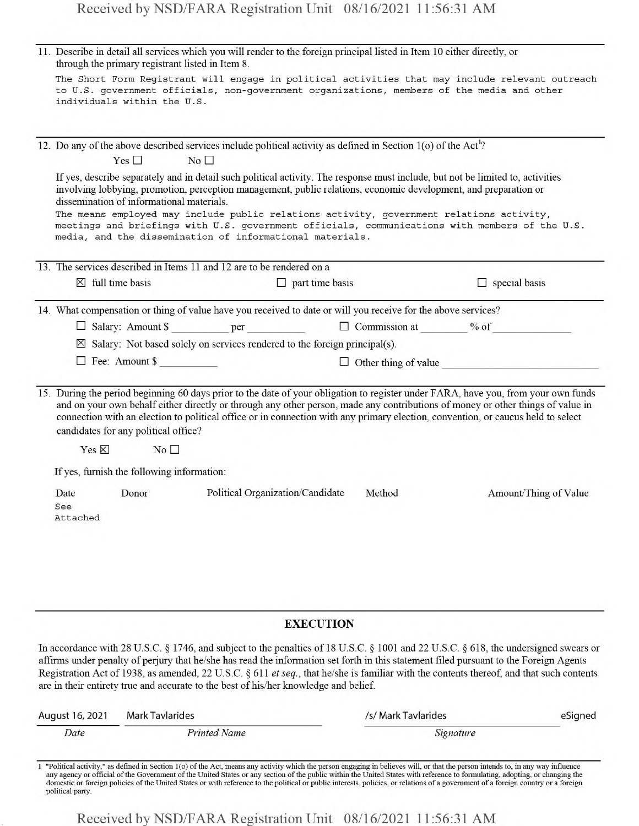|                         | 11. Describe in detail all services which you will render to the foreign principal listed in Item 10 either directly, or<br>through the primary registrant listed in Item 8.                                                                                                                                                                                                                                                                                                                                                                               |                                      |                     |                             |
|-------------------------|------------------------------------------------------------------------------------------------------------------------------------------------------------------------------------------------------------------------------------------------------------------------------------------------------------------------------------------------------------------------------------------------------------------------------------------------------------------------------------------------------------------------------------------------------------|--------------------------------------|---------------------|-----------------------------|
|                         | The Short Form Registrant will engage in political activities that may include relevant outreach<br>to U.S. government officials, non-government organizations, members of the media and other<br>individuals within the U.S.                                                                                                                                                                                                                                                                                                                              |                                      |                     |                             |
|                         |                                                                                                                                                                                                                                                                                                                                                                                                                                                                                                                                                            |                                      |                     |                             |
|                         | 12. Do any of the above described services include political activity as defined in Section $1$ (o) of the Act <sup>1</sup> ?                                                                                                                                                                                                                                                                                                                                                                                                                              |                                      |                     |                             |
|                         | Yes $\square$<br>No <sub>1</sub>                                                                                                                                                                                                                                                                                                                                                                                                                                                                                                                           |                                      |                     |                             |
|                         | If yes, describe separately and in detail such political activity. The response must include, but not be limited to, activities<br>involving lobbying, promotion, perception management, public relations, economic development, and preparation or<br>dissemination of informational materials.<br>The means employed may include public relations activity, government relations activity,<br>meetings and briefings with U.S. government officials, communications with members of the U.S.<br>media, and the dissemination of informational materials. |                                      |                     |                             |
|                         | 13. The services described in Items 11 and 12 are to be rendered on a                                                                                                                                                                                                                                                                                                                                                                                                                                                                                      |                                      |                     |                             |
|                         | $\boxtimes$ full time basis                                                                                                                                                                                                                                                                                                                                                                                                                                                                                                                                | a verson y<br>$\Box$ part time basis |                     | $\Box$ special basis        |
|                         |                                                                                                                                                                                                                                                                                                                                                                                                                                                                                                                                                            |                                      |                     |                             |
|                         | 14. What compensation or thing of value have you received to date or will you receive for the above services?                                                                                                                                                                                                                                                                                                                                                                                                                                              |                                      |                     |                             |
|                         | $\boxtimes$ Salary: Not based solely on services rendered to the foreign principal(s).                                                                                                                                                                                                                                                                                                                                                                                                                                                                     |                                      |                     |                             |
|                         | $\Box$ Fee: Amount \$                                                                                                                                                                                                                                                                                                                                                                                                                                                                                                                                      |                                      |                     |                             |
|                         |                                                                                                                                                                                                                                                                                                                                                                                                                                                                                                                                                            |                                      |                     | $\Box$ Other thing of value |
|                         | 15. During the period beginning 60 days prior to the date of your obligation to register under FARA, have you, from your own funds<br>and on your own behalf either directly or through any other person, made any contributions of money or other things of value in<br>connection with an election to political office or in connection with any primary election, convention, or caucus held to select<br>candidates for any political office?                                                                                                          |                                      |                     |                             |
|                         | Yes $\boxtimes$<br>N <sub>0</sub>                                                                                                                                                                                                                                                                                                                                                                                                                                                                                                                          |                                      |                     |                             |
|                         | If yes, furnish the following information:                                                                                                                                                                                                                                                                                                                                                                                                                                                                                                                 |                                      |                     |                             |
| Date<br>See<br>Attached | Donor                                                                                                                                                                                                                                                                                                                                                                                                                                                                                                                                                      | Political Organization/Candidate     | Method              | Amount/Thing of Value       |
|                         |                                                                                                                                                                                                                                                                                                                                                                                                                                                                                                                                                            |                                      |                     |                             |
|                         |                                                                                                                                                                                                                                                                                                                                                                                                                                                                                                                                                            | <b>EXECUTION</b>                     |                     |                             |
|                         | In accordance with 28 U.S.C. § 1746, and subject to the penalties of 18 U.S.C. § 1001 and 22 U.S.C. § 618, the undersigned swears or<br>affirms under penalty of perjury that he/she has read the information set forth in this statement filed pursuant to the Foreign Agents<br>Registration Act of 1938, as amended, 22 U.S.C. § 611 et seq., that he/she is familiar with the contents thereof, and that such contents<br>are in their entirety true and accurate to the best of his/her knowledge and belief.                                         |                                      |                     |                             |
| August 16, 2021         | <b>Mark Tavlarides</b>                                                                                                                                                                                                                                                                                                                                                                                                                                                                                                                                     |                                      | /s/ Mark Tavlarides | eSigned                     |
| Date                    | <b>Printed Name</b>                                                                                                                                                                                                                                                                                                                                                                                                                                                                                                                                        |                                      | Signature           |                             |

1 "Political activity," as defined in Section 1(o) of the Act, means any activity which the person engaging in believes will, or that the person intends to, in any way influence any agency or official of the Government of political party.

Received by NSD/FARA Registration Unit 08/16/2021 11:56:31 AM